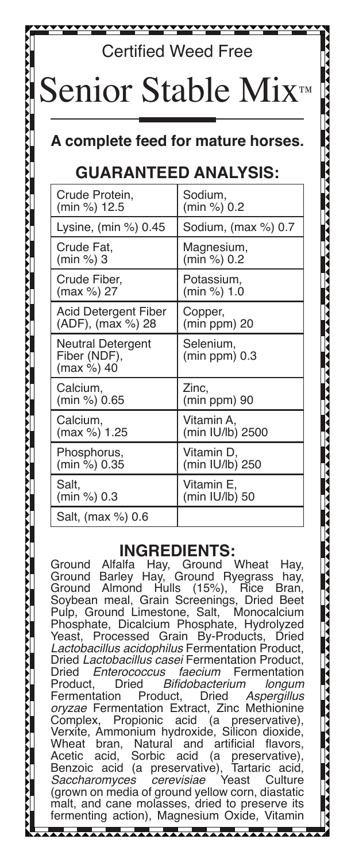# Certified Weed Free ior Stable Mix™

### **A complete feed for mature horses.**

## **GUARANTEED ANALYSIS:**

| Crude Protein,                                  | Sodium.                      |
|-------------------------------------------------|------------------------------|
| (min %) 12.5                                    | (min %) 0.2                  |
| Lysine, (min %) 0.45                            | Sodium, (max %) 0.7          |
| Crude Fat.                                      | Magnesium,                   |
| (min %) 3                                       | (min %) 0.2                  |
| Crude Fiber,                                    | Potassium,                   |
| (max %) 27                                      | (min %) 1.0                  |
| Acid Detergent Fiber                            | Copper,                      |
| (ADF), (max %) 28                               | (min ppm) 20                 |
| Neutral Detergent<br>Fiber (NDF),<br>(max %) 40 | Selenium,<br>$(min ppm)$ 0.3 |
| Calcium,                                        | Zinc,                        |
| (min %) 0.65                                    | (min ppm) 90                 |
| Calcium,                                        | Vitamin A.                   |
| (max %) 1.25                                    | (min IU/lb) 2500             |
| Phosphorus,                                     | Vitamin D.                   |
| (min %) 0.35                                    | (min IU/lb) 250              |
| Salt.                                           | Vitamin E.                   |
| (min %) 0.3                                     | (min IU/lb) 50               |
| Salt, (max %) 0.6                               |                              |

**INGREDIENTS:**<br>Alfalfa Hay, Ground Wheat Ground Alfalfa Hay, Ground Wheat Hay, Ground Barley Hay, Ground Ryegrass<br>Ground Almond Hulls (15%), Rice Ground Almond Hulls (15%), Rice Bran, Soybean meal, Grain Screenings, Dried Beet Pulp, Ground Limestone, Salt, Monocalcium Phosphate, Dicalcium Phosphate, Hydrolyzed Yeast, Processed Grain By-Products, *Lactobacillus acidophilus* Fermentation Product, Dried *Lactobacillus casei* Fermentation Product, Dried *Enterococcus faecium* Fermentation d *Bifidobacterium longum*<br>Product, Dried Aspergillus **Fermentation** *oryzae* Fermentation Extract, Zinc Methionine preservative), Verxite, Ammonium hydroxide, Silicon dioxide, Wheat bran, Natural and artificial flavors, Acetic acid, Sorbic acid (a preservative), Benzoic acid (a preservative), Tartaric acid, *Saccharomyces cerevisiae* Yeast Culture (grown on media of ground yellow corn, diastatic malt, and cane molasses, dried to preserve its fermenting action), Magnesium Oxide, Vitamin